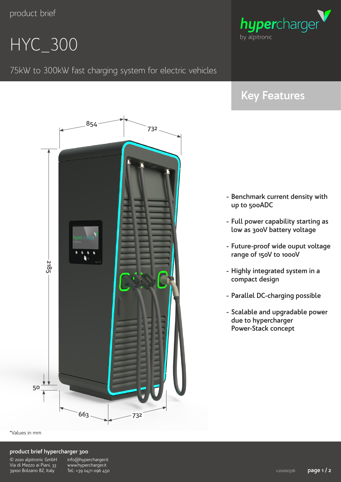## HYC\_300

75kW to 300kW fast charging system for electric vehicles

**<sup>732</sup> <sup>854</sup>**



### **Key Features**

- **- Benchmark current density with up to 500ADC**
- **- Full power capability starting as low as 300V battery voltage**
- **- Future-proof wide ouput voltage range of 150V to 1000V**
- **- Highly integrated system in a compact design**
- **- Parallel DC-charging possible**
- **- Scalable and upgradable power due to hypercharger Power-Stack concept**

**663 732 2185 50** \*Values in mm

#### **product brief hypercharger 300**

| © 2020 alpitronic GmbH    |
|---------------------------|
| Via di Mezzo ai Piani, 33 |
| 39100 Bolzano BZ, Italy   |

info@hypercharger.it www.hypercharger.it